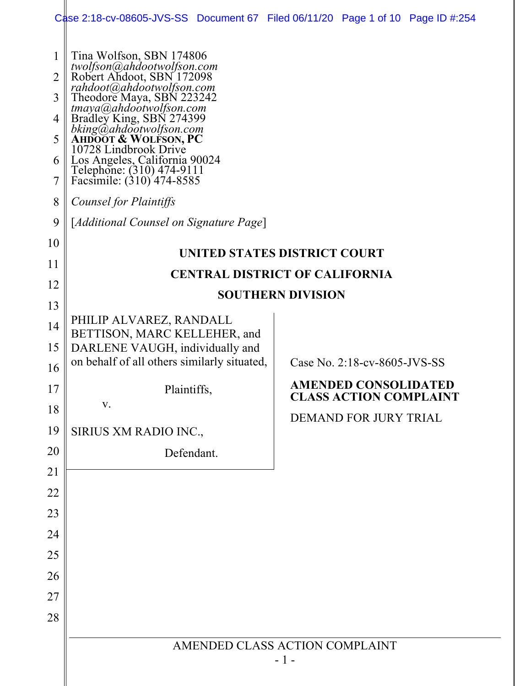|                          |                                                                                                                                               | Case 2:18-cv-08605-JVS-SS Document 67 Filed 06/11/20 Page 1 of 10 Page ID #:254 |  |  |  |
|--------------------------|-----------------------------------------------------------------------------------------------------------------------------------------------|---------------------------------------------------------------------------------|--|--|--|
| 1<br>$\overline{2}$<br>3 | Tina Wolfson, SBN 174806<br>twolfson@ahdootwolfson.com<br>Robert Ahdoot, SBN 172098<br>rahdoot@ahdootwolfson.com<br>Theodore Maya, SBN 223242 |                                                                                 |  |  |  |
| 4<br>5                   | tmaya@ahdootwolfson.com<br>Bradley King, SBN 274399<br>bking@ahdootwolfson.com<br>AHDOOT & WOLFSON, PC                                        |                                                                                 |  |  |  |
| 6<br>7                   | 10728 Lindbrook Drive<br>Los Angeles, California 90024<br>Telephone: (310) 474-9111<br>Facsimile: (310) 474-8585                              |                                                                                 |  |  |  |
| 8                        | Counsel for Plaintiffs                                                                                                                        |                                                                                 |  |  |  |
| 9                        | [Additional Counsel on Signature Page]                                                                                                        |                                                                                 |  |  |  |
| 10                       | UNITED STATES DISTRICT COURT                                                                                                                  |                                                                                 |  |  |  |
| 11                       | <b>CENTRAL DISTRICT OF CALIFORNIA</b>                                                                                                         |                                                                                 |  |  |  |
| 12                       | <b>SOUTHERN DIVISION</b>                                                                                                                      |                                                                                 |  |  |  |
| 13                       |                                                                                                                                               |                                                                                 |  |  |  |
| 14                       | PHILIP ALVAREZ, RANDALL<br>BETTISON, MARC KELLEHER, and                                                                                       |                                                                                 |  |  |  |
| 15                       | DARLENE VAUGH, individually and                                                                                                               |                                                                                 |  |  |  |
| 16                       | on behalf of all others similarly situated,                                                                                                   | Case No. 2:18-cv-8605-JVS-SS                                                    |  |  |  |
| 17                       | Plaintiffs,                                                                                                                                   | <b>AMENDED CONSOLIDATED</b><br><b>CLASS ACTION COMPLAINT</b>                    |  |  |  |
| 18                       | V.                                                                                                                                            | DEMAND FOR JURY TRIAL                                                           |  |  |  |
| 19                       | SIRIUS XM RADIO INC.,                                                                                                                         |                                                                                 |  |  |  |
| 20                       | Defendant.                                                                                                                                    |                                                                                 |  |  |  |
| 21                       |                                                                                                                                               |                                                                                 |  |  |  |
| 22                       |                                                                                                                                               |                                                                                 |  |  |  |
| 23                       |                                                                                                                                               |                                                                                 |  |  |  |
| 24                       |                                                                                                                                               |                                                                                 |  |  |  |
| 25<br>26                 |                                                                                                                                               |                                                                                 |  |  |  |
| 27                       |                                                                                                                                               |                                                                                 |  |  |  |
| 28                       |                                                                                                                                               |                                                                                 |  |  |  |
|                          |                                                                                                                                               |                                                                                 |  |  |  |
|                          | AMENDED CLASS ACTION COMPLAINT<br>- 1 -                                                                                                       |                                                                                 |  |  |  |
|                          |                                                                                                                                               |                                                                                 |  |  |  |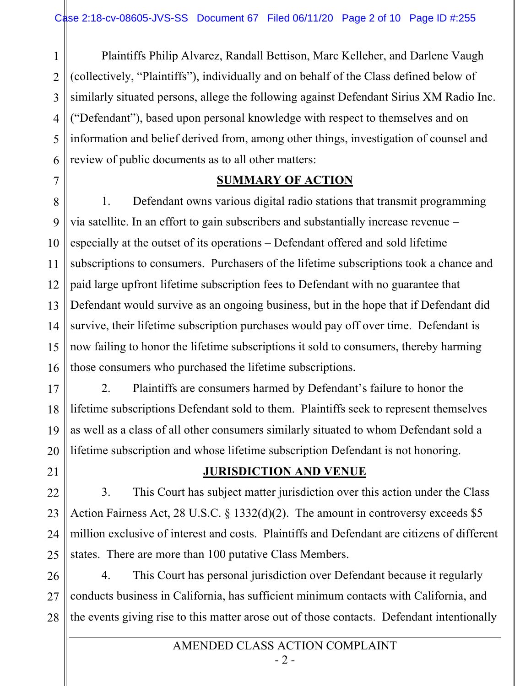1 2 3 4 5 6 Plaintiffs Philip Alvarez, Randall Bettison, Marc Kelleher, and Darlene Vaugh (collectively, "Plaintiffs"), individually and on behalf of the Class defined below of similarly situated persons, allege the following against Defendant Sirius XM Radio Inc. ("Defendant"), based upon personal knowledge with respect to themselves and on information and belief derived from, among other things, investigation of counsel and review of public documents as to all other matters:

### **SUMMARY OF ACTION**

8 9 10 11 12 13 14 15 16 1. Defendant owns various digital radio stations that transmit programming via satellite. In an effort to gain subscribers and substantially increase revenue – especially at the outset of its operations – Defendant offered and sold lifetime subscriptions to consumers. Purchasers of the lifetime subscriptions took a chance and paid large upfront lifetime subscription fees to Defendant with no guarantee that Defendant would survive as an ongoing business, but in the hope that if Defendant did survive, their lifetime subscription purchases would pay off over time. Defendant is now failing to honor the lifetime subscriptions it sold to consumers, thereby harming those consumers who purchased the lifetime subscriptions.

17 18 19 20 2. Plaintiffs are consumers harmed by Defendant's failure to honor the lifetime subscriptions Defendant sold to them. Plaintiffs seek to represent themselves as well as a class of all other consumers similarly situated to whom Defendant sold a lifetime subscription and whose lifetime subscription Defendant is not honoring.

# 21

7

22

#### **JURISDICTION AND VENUE**

23 24 25 3. This Court has subject matter jurisdiction over this action under the Class Action Fairness Act, 28 U.S.C. § 1332(d)(2). The amount in controversy exceeds \$5 million exclusive of interest and costs. Plaintiffs and Defendant are citizens of different states. There are more than 100 putative Class Members.

26 27 28 4. This Court has personal jurisdiction over Defendant because it regularly conducts business in California, has sufficient minimum contacts with California, and the events giving rise to this matter arose out of those contacts. Defendant intentionally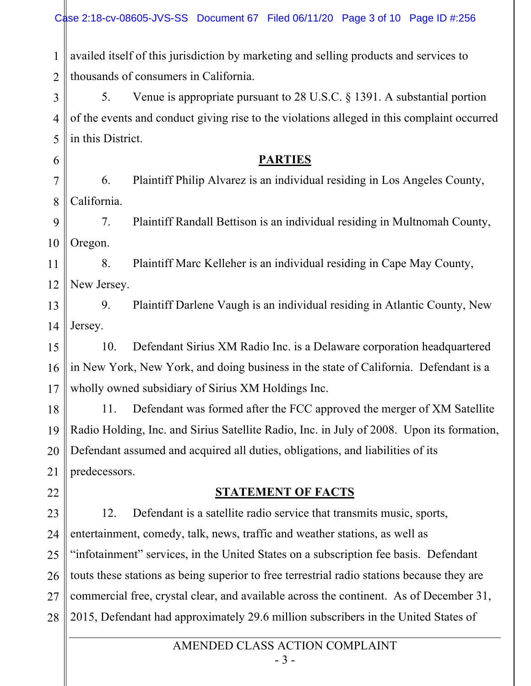1 2 availed itself of this jurisdiction by marketing and selling products and services to thousands of consumers in California.

3 4 5 5. Venue is appropriate pursuant to 28 U.S.C. § 1391. A substantial portion of the events and conduct giving rise to the violations alleged in this complaint occurred in this District.

### **PARTIES**

7 8 6. Plaintiff Philip Alvarez is an individual residing in Los Angeles County, California.

9 10 7. Plaintiff Randall Bettison is an individual residing in Multnomah County, Oregon.

11 12 8. Plaintiff Marc Kelleher is an individual residing in Cape May County, New Jersey.

13 14 9. Plaintiff Darlene Vaugh is an individual residing in Atlantic County, New Jersey.

15 16 17 10. Defendant Sirius XM Radio Inc. is a Delaware corporation headquartered in New York, New York, and doing business in the state of California. Defendant is a wholly owned subsidiary of Sirius XM Holdings Inc.

18 19 20 21 11. Defendant was formed after the FCC approved the merger of XM Satellite Radio Holding, Inc. and Sirius Satellite Radio, Inc. in July of 2008. Upon its formation, Defendant assumed and acquired all duties, obligations, and liabilities of its predecessors.

22

6

## **STATEMENT OF FACTS**

23 24 25 26 27 28 12. Defendant is a satellite radio service that transmits music, sports, entertainment, comedy, talk, news, traffic and weather stations, as well as "infotainment" services, in the United States on a subscription fee basis. Defendant touts these stations as being superior to free terrestrial radio stations because they are commercial free, crystal clear, and available across the continent. As of December 31, 2015, Defendant had approximately 29.6 million subscribers in the United States of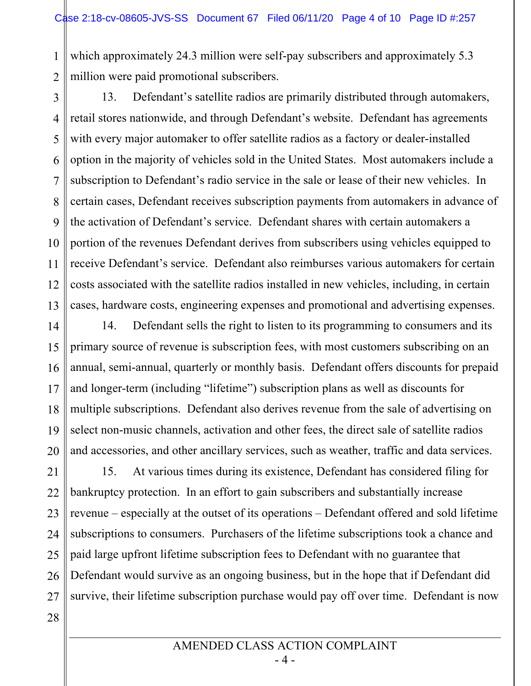1 2 which approximately 24.3 million were self-pay subscribers and approximately 5.3 million were paid promotional subscribers.

3 4 5 6 7 8 9 10 11 12 13 13. Defendant's satellite radios are primarily distributed through automakers, retail stores nationwide, and through Defendant's website. Defendant has agreements with every major automaker to offer satellite radios as a factory or dealer-installed option in the majority of vehicles sold in the United States. Most automakers include a subscription to Defendant's radio service in the sale or lease of their new vehicles. In certain cases, Defendant receives subscription payments from automakers in advance of the activation of Defendant's service. Defendant shares with certain automakers a portion of the revenues Defendant derives from subscribers using vehicles equipped to receive Defendant's service. Defendant also reimburses various automakers for certain costs associated with the satellite radios installed in new vehicles, including, in certain cases, hardware costs, engineering expenses and promotional and advertising expenses.

14 15 16 17 18 19 20 14. Defendant sells the right to listen to its programming to consumers and its primary source of revenue is subscription fees, with most customers subscribing on an annual, semi-annual, quarterly or monthly basis. Defendant offers discounts for prepaid and longer-term (including "lifetime") subscription plans as well as discounts for multiple subscriptions. Defendant also derives revenue from the sale of advertising on select non-music channels, activation and other fees, the direct sale of satellite radios and accessories, and other ancillary services, such as weather, traffic and data services.

21 22 23 24 25 26 27 28 15. At various times during its existence, Defendant has considered filing for bankruptcy protection. In an effort to gain subscribers and substantially increase revenue – especially at the outset of its operations – Defendant offered and sold lifetime subscriptions to consumers. Purchasers of the lifetime subscriptions took a chance and paid large upfront lifetime subscription fees to Defendant with no guarantee that Defendant would survive as an ongoing business, but in the hope that if Defendant did survive, their lifetime subscription purchase would pay off over time. Defendant is now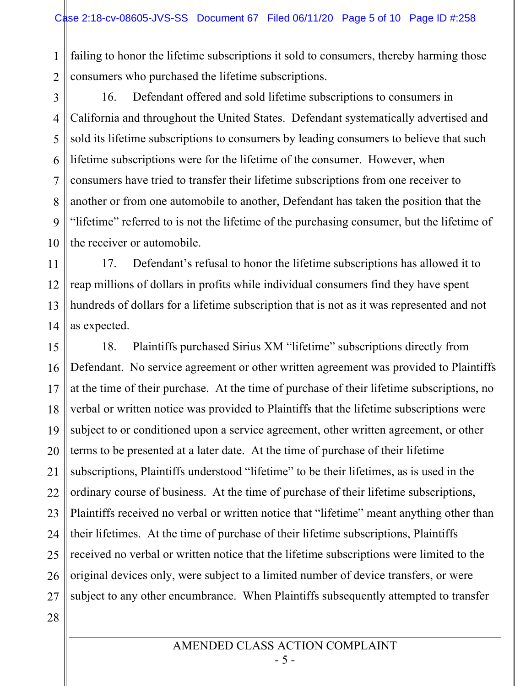1 2 failing to honor the lifetime subscriptions it sold to consumers, thereby harming those consumers who purchased the lifetime subscriptions.

3 4 5 6 7 8 9 10 16. Defendant offered and sold lifetime subscriptions to consumers in California and throughout the United States. Defendant systematically advertised and sold its lifetime subscriptions to consumers by leading consumers to believe that such lifetime subscriptions were for the lifetime of the consumer. However, when consumers have tried to transfer their lifetime subscriptions from one receiver to another or from one automobile to another, Defendant has taken the position that the "lifetime" referred to is not the lifetime of the purchasing consumer, but the lifetime of the receiver or automobile.

11 12 13 14 17. Defendant's refusal to honor the lifetime subscriptions has allowed it to reap millions of dollars in profits while individual consumers find they have spent hundreds of dollars for a lifetime subscription that is not as it was represented and not as expected.

15 16 17 18 19 20 21 22 23 24 25 26 27 28 18. Plaintiffs purchased Sirius XM "lifetime" subscriptions directly from Defendant. No service agreement or other written agreement was provided to Plaintiffs at the time of their purchase. At the time of purchase of their lifetime subscriptions, no verbal or written notice was provided to Plaintiffs that the lifetime subscriptions were subject to or conditioned upon a service agreement, other written agreement, or other terms to be presented at a later date. At the time of purchase of their lifetime subscriptions, Plaintiffs understood "lifetime" to be their lifetimes, as is used in the ordinary course of business. At the time of purchase of their lifetime subscriptions, Plaintiffs received no verbal or written notice that "lifetime" meant anything other than their lifetimes. At the time of purchase of their lifetime subscriptions, Plaintiffs received no verbal or written notice that the lifetime subscriptions were limited to the original devices only, were subject to a limited number of device transfers, or were subject to any other encumbrance. When Plaintiffs subsequently attempted to transfer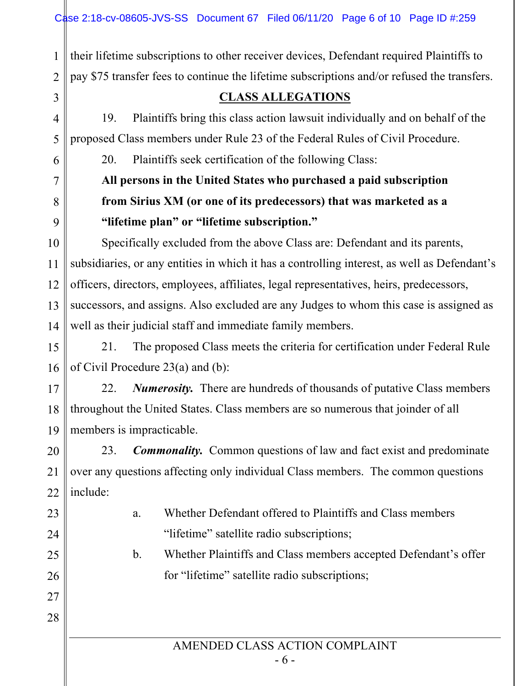1 2 their lifetime subscriptions to other receiver devices, Defendant required Plaintiffs to pay \$75 transfer fees to continue the lifetime subscriptions and/or refused the transfers.

### **CLASS ALLEGATIONS**

19. Plaintiffs bring this class action lawsuit individually and on behalf of the proposed Class members under Rule 23 of the Federal Rules of Civil Procedure.

20. Plaintiffs seek certification of the following Class:

3

4

5

6

7

8

9

23

24

25

26

27

28

# **All persons in the United States who purchased a paid subscription from Sirius XM (or one of its predecessors) that was marketed as a "lifetime plan" or "lifetime subscription."**

10 11 12 13 14 Specifically excluded from the above Class are: Defendant and its parents, subsidiaries, or any entities in which it has a controlling interest, as well as Defendant's officers, directors, employees, affiliates, legal representatives, heirs, predecessors, successors, and assigns. Also excluded are any Judges to whom this case is assigned as well as their judicial staff and immediate family members.

15 16 21. The proposed Class meets the criteria for certification under Federal Rule of Civil Procedure 23(a) and (b):

17 18 19 22. *Numerosity.* There are hundreds of thousands of putative Class members throughout the United States. Class members are so numerous that joinder of all members is impracticable.

20 21 22 23. *Commonality.* Common questions of law and fact exist and predominate over any questions affecting only individual Class members. The common questions include:

> a. Whether Defendant offered to Plaintiffs and Class members "lifetime" satellite radio subscriptions;

b. Whether Plaintiffs and Class members accepted Defendant's offer for "lifetime" satellite radio subscriptions;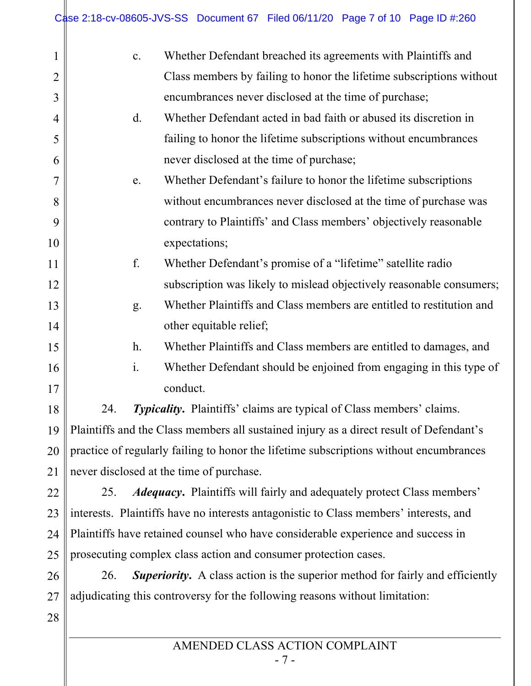| $\mathbf{1}$   |                                                                                               | c.             | Whether Defendant breached its agreements with Plaintiffs and        |
|----------------|-----------------------------------------------------------------------------------------------|----------------|----------------------------------------------------------------------|
| $\overline{2}$ |                                                                                               |                | Class members by failing to honor the lifetime subscriptions without |
| 3              |                                                                                               |                | encumbrances never disclosed at the time of purchase;                |
| 4              |                                                                                               | d.             | Whether Defendant acted in bad faith or abused its discretion in     |
| 5              |                                                                                               |                | failing to honor the lifetime subscriptions without encumbrances     |
| 6              |                                                                                               |                | never disclosed at the time of purchase;                             |
| 7              |                                                                                               | e.             | Whether Defendant's failure to honor the lifetime subscriptions      |
| 8              |                                                                                               |                | without encumbrances never disclosed at the time of purchase was     |
| 9              |                                                                                               |                | contrary to Plaintiffs' and Class members' objectively reasonable    |
| 10             |                                                                                               |                | expectations;                                                        |
| 11             |                                                                                               | f.             | Whether Defendant's promise of a "lifetime" satellite radio          |
| 12             |                                                                                               |                | subscription was likely to mislead objectively reasonable consumers; |
| 13             |                                                                                               | g.             | Whether Plaintiffs and Class members are entitled to restitution and |
| 14             |                                                                                               |                | other equitable relief;                                              |
| 15             |                                                                                               | h.             | Whether Plaintiffs and Class members are entitled to damages, and    |
| 16             |                                                                                               | $\mathbf{i}$ . | Whether Defendant should be enjoined from engaging in this type of   |
| 17             |                                                                                               |                | conduct.                                                             |
| 18             | 24.<br><b>Typicality.</b> Plaintiffs' claims are typical of Class members' claims.            |                |                                                                      |
|                | 19    Plaintiffs and the Class members all sustained injury as a direct result of Defendant's |                |                                                                      |
| 20             | practice of regularly failing to honor the lifetime subscriptions without encumbrances        |                |                                                                      |
| 21             | never disclosed at the time of purchase.                                                      |                |                                                                      |
| 22             | <i>Adequacy</i> . Plaintiffs will fairly and adequately protect Class members'<br>25.         |                |                                                                      |
| 23             | interests. Plaintiffs have no interests antagonistic to Class members' interests, and         |                |                                                                      |
| 24             | Plaintiffs have retained counsel who have considerable experience and success in              |                |                                                                      |
| 25             | prosecuting complex class action and consumer protection cases.                               |                |                                                                      |
| 26             | <b>Superiority.</b> A class action is the superior method for fairly and efficiently<br>26.   |                |                                                                      |
| 27             | adjudicating this controversy for the following reasons without limitation:                   |                |                                                                      |
| 28             |                                                                                               |                |                                                                      |
|                |                                                                                               |                |                                                                      |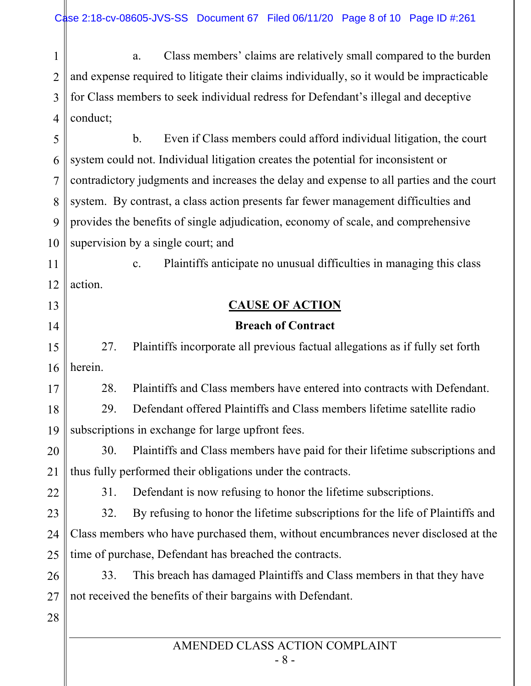1 2 3 4 a. Class members' claims are relatively small compared to the burden and expense required to litigate their claims individually, so it would be impracticable for Class members to seek individual redress for Defendant's illegal and deceptive conduct;

5 6 7 8 9 10 b. Even if Class members could afford individual litigation, the court system could not. Individual litigation creates the potential for inconsistent or contradictory judgments and increases the delay and expense to all parties and the court system. By contrast, a class action presents far fewer management difficulties and provides the benefits of single adjudication, economy of scale, and comprehensive supervision by a single court; and

11 12 c. Plaintiffs anticipate no unusual difficulties in managing this class action.

# **CAUSE OF ACTION**

### **Breach of Contract**

15 16 27. Plaintiffs incorporate all previous factual allegations as if fully set forth herein.

28. Plaintiffs and Class members have entered into contracts with Defendant.

18 19 29. Defendant offered Plaintiffs and Class members lifetime satellite radio subscriptions in exchange for large upfront fees.

20 21 30. Plaintiffs and Class members have paid for their lifetime subscriptions and thus fully performed their obligations under the contracts.

22

13

14

17

31. Defendant is now refusing to honor the lifetime subscriptions.

23 24 25 32. By refusing to honor the lifetime subscriptions for the life of Plaintiffs and Class members who have purchased them, without encumbrances never disclosed at the time of purchase, Defendant has breached the contracts.

26 27 33. This breach has damaged Plaintiffs and Class members in that they have not received the benefits of their bargains with Defendant.

28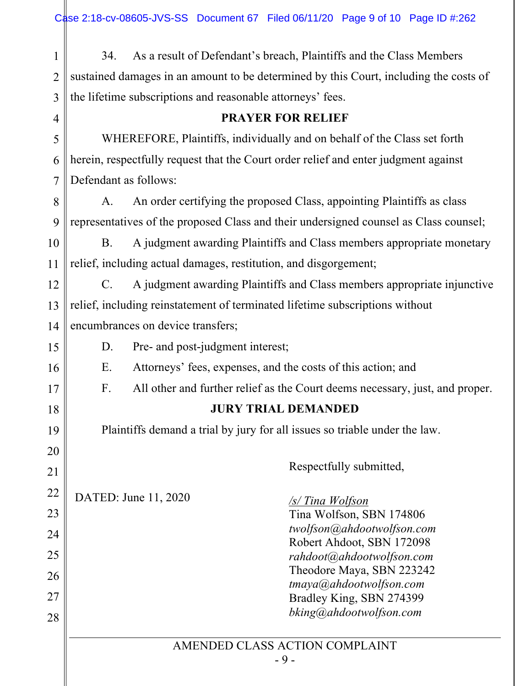1 2 3 4 34. As a result of Defendant's breach, Plaintiffs and the Class Members sustained damages in an amount to be determined by this Court, including the costs of the lifetime subscriptions and reasonable attorneys' fees.

#### **PRAYER FOR RELIEF**

5 6 7 WHEREFORE, Plaintiffs, individually and on behalf of the Class set forth herein, respectfully request that the Court order relief and enter judgment against Defendant as follows:

8 9 A. An order certifying the proposed Class, appointing Plaintiffs as class representatives of the proposed Class and their undersigned counsel as Class counsel;

10 11 B. A judgment awarding Plaintiffs and Class members appropriate monetary relief, including actual damages, restitution, and disgorgement;

12 13 14 C. A judgment awarding Plaintiffs and Class members appropriate injunctive relief, including reinstatement of terminated lifetime subscriptions without encumbrances on device transfers;

D. Pre- and post-judgment interest;

E. Attorneys' fees, expenses, and the costs of this action; and

F. All other and further relief as the Court deems necessary, just, and proper.

## **JURY TRIAL DEMANDED**

Plaintiffs demand a trial by jury for all issues so triable under the law.

22 23 DATED: June 11, 2020

15

16

17

18

19

20

21

24

25

26

27

28

Respectfully submitted,

*/s/ Tina Wolfson* Tina Wolfson, SBN 174806 *twolfson@ahdootwolfson.com* Robert Ahdoot, SBN 172098 *rahdoot@ahdootwolfson.com*  Theodore Maya, SBN 223242 *tmaya@ahdootwolfson.com* Bradley King, SBN 274399 *bking@ahdootwolfson.com* 

AMENDED CLASS ACTION COMPLAINT